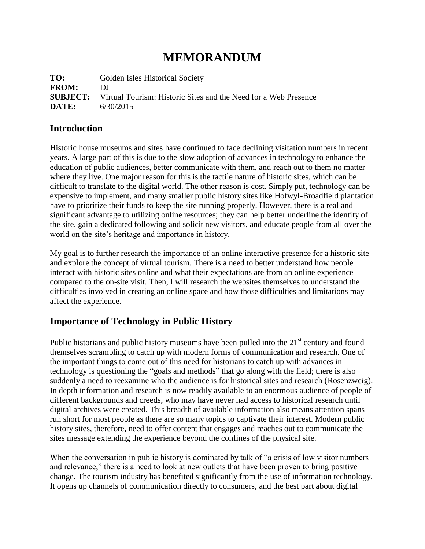# **MEMORANDUM**

TO: Golden Isles Historical Society **FROM:** DJ **SUBJECT:** Virtual Tourism: Historic Sites and the Need for a Web Presence **DATE:** 6/30/2015

## **Introduction**

Historic house museums and sites have continued to face declining visitation numbers in recent years. A large part of this is due to the slow adoption of advances in technology to enhance the education of public audiences, better communicate with them, and reach out to them no matter where they live. One major reason for this is the tactile nature of historic sites, which can be difficult to translate to the digital world. The other reason is cost. Simply put, technology can be expensive to implement, and many smaller public history sites like Hofwyl-Broadfield plantation have to prioritize their funds to keep the site running properly. However, there is a real and significant advantage to utilizing online resources; they can help better underline the identity of the site, gain a dedicated following and solicit new visitors, and educate people from all over the world on the site's heritage and importance in history.

My goal is to further research the importance of an online interactive presence for a historic site and explore the concept of virtual tourism. There is a need to better understand how people interact with historic sites online and what their expectations are from an online experience compared to the on-site visit. Then, I will research the websites themselves to understand the difficulties involved in creating an online space and how those difficulties and limitations may affect the experience.

## **Importance of Technology in Public History**

Public historians and public history museums have been pulled into the  $21<sup>st</sup>$  century and found themselves scrambling to catch up with modern forms of communication and research. One of the important things to come out of this need for historians to catch up with advances in technology is questioning the "goals and methods" that go along with the field; there is also suddenly a need to reexamine who the audience is for historical sites and research (Rosenzweig). In depth information and research is now readily available to an enormous audience of people of different backgrounds and creeds, who may have never had access to historical research until digital archives were created. This breadth of available information also means attention spans run short for most people as there are so many topics to captivate their interest. Modern public history sites, therefore, need to offer content that engages and reaches out to communicate the sites message extending the experience beyond the confines of the physical site.

When the conversation in public history is dominated by talk of "a crisis of low visitor numbers and relevance," there is a need to look at new outlets that have been proven to bring positive change. The tourism industry has benefited significantly from the use of information technology. It opens up channels of communication directly to consumers, and the best part about digital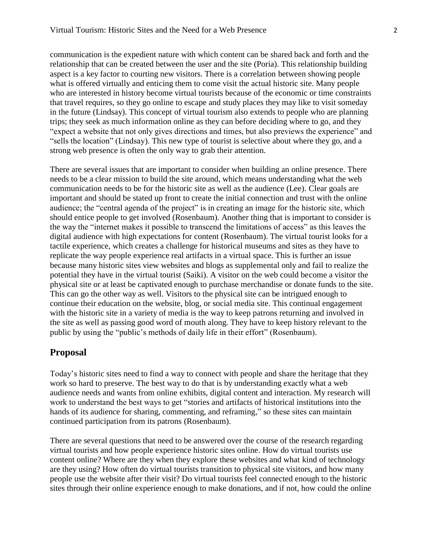communication is the expedient nature with which content can be shared back and forth and the relationship that can be created between the user and the site (Poria). This relationship building aspect is a key factor to courting new visitors. There is a correlation between showing people what is offered virtually and enticing them to come visit the actual historic site. Many people who are interested in history become virtual tourists because of the economic or time constraints that travel requires, so they go online to escape and study places they may like to visit someday in the future (Lindsay). This concept of virtual tourism also extends to people who are planning trips; they seek as much information online as they can before deciding where to go, and they "expect a website that not only gives directions and times, but also previews the experience" and "sells the location" (Lindsay). This new type of tourist is selective about where they go, and a strong web presence is often the only way to grab their attention.

There are several issues that are important to consider when building an online presence. There needs to be a clear mission to build the site around, which means understanding what the web communication needs to be for the historic site as well as the audience (Lee). Clear goals are important and should be stated up front to create the initial connection and trust with the online audience; the "central agenda of the project" is in creating an image for the historic site, which should entice people to get involved (Rosenbaum). Another thing that is important to consider is the way the "internet makes it possible to transcend the limitations of access" as this leaves the digital audience with high expectations for content (Rosenbaum). The virtual tourist looks for a tactile experience, which creates a challenge for historical museums and sites as they have to replicate the way people experience real artifacts in a virtual space. This is further an issue because many historic sites view websites and blogs as supplemental only and fail to realize the potential they have in the virtual tourist (Saiki). A visitor on the web could become a visitor the physical site or at least be captivated enough to purchase merchandise or donate funds to the site. This can go the other way as well. Visitors to the physical site can be intrigued enough to continue their education on the website, blog, or social media site. This continual engagement with the historic site in a variety of media is the way to keep patrons returning and involved in the site as well as passing good word of mouth along. They have to keep history relevant to the public by using the "public's methods of daily life in their effort" (Rosenbaum).

### **Proposal**

Today's historic sites need to find a way to connect with people and share the heritage that they work so hard to preserve. The best way to do that is by understanding exactly what a web audience needs and wants from online exhibits, digital content and interaction. My research will work to understand the best ways to get "stories and artifacts of historical institutions into the hands of its audience for sharing, commenting, and reframing," so these sites can maintain continued participation from its patrons (Rosenbaum).

There are several questions that need to be answered over the course of the research regarding virtual tourists and how people experience historic sites online. How do virtual tourists use content online? Where are they when they explore these websites and what kind of technology are they using? How often do virtual tourists transition to physical site visitors, and how many people use the website after their visit? Do virtual tourists feel connected enough to the historic sites through their online experience enough to make donations, and if not, how could the online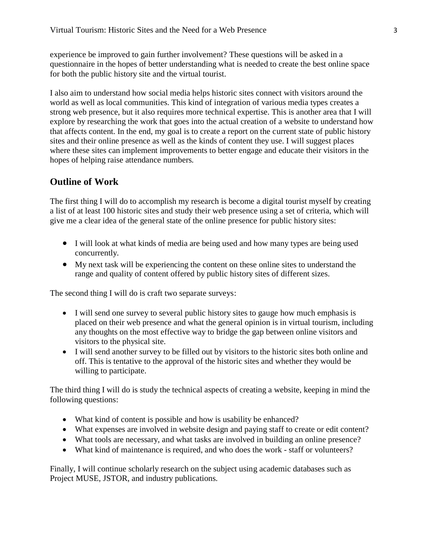experience be improved to gain further involvement? These questions will be asked in a questionnaire in the hopes of better understanding what is needed to create the best online space for both the public history site and the virtual tourist.

I also aim to understand how social media helps historic sites connect with visitors around the world as well as local communities. This kind of integration of various media types creates a strong web presence, but it also requires more technical expertise. This is another area that I will explore by researching the work that goes into the actual creation of a website to understand how that affects content. In the end, my goal is to create a report on the current state of public history sites and their online presence as well as the kinds of content they use. I will suggest places where these sites can implement improvements to better engage and educate their visitors in the hopes of helping raise attendance numbers.

## **Outline of Work**

The first thing I will do to accomplish my research is become a digital tourist myself by creating a list of at least 100 historic sites and study their web presence using a set of criteria, which will give me a clear idea of the general state of the online presence for public history sites:

- I will look at what kinds of media are being used and how many types are being used concurrently.
- My next task will be experiencing the content on these online sites to understand the range and quality of content offered by public history sites of different sizes.

The second thing I will do is craft two separate surveys:

- I will send one survey to several public history sites to gauge how much emphasis is placed on their web presence and what the general opinion is in virtual tourism, including any thoughts on the most effective way to bridge the gap between online visitors and visitors to the physical site.
- I will send another survey to be filled out by visitors to the historic sites both online and off. This is tentative to the approval of the historic sites and whether they would be willing to participate.

The third thing I will do is study the technical aspects of creating a website, keeping in mind the following questions:

- What kind of content is possible and how is usability be enhanced?
- What expenses are involved in website design and paying staff to create or edit content?
- What tools are necessary, and what tasks are involved in building an online presence?
- What kind of maintenance is required, and who does the work staff or volunteers?

Finally, I will continue scholarly research on the subject using academic databases such as Project MUSE, JSTOR, and industry publications.